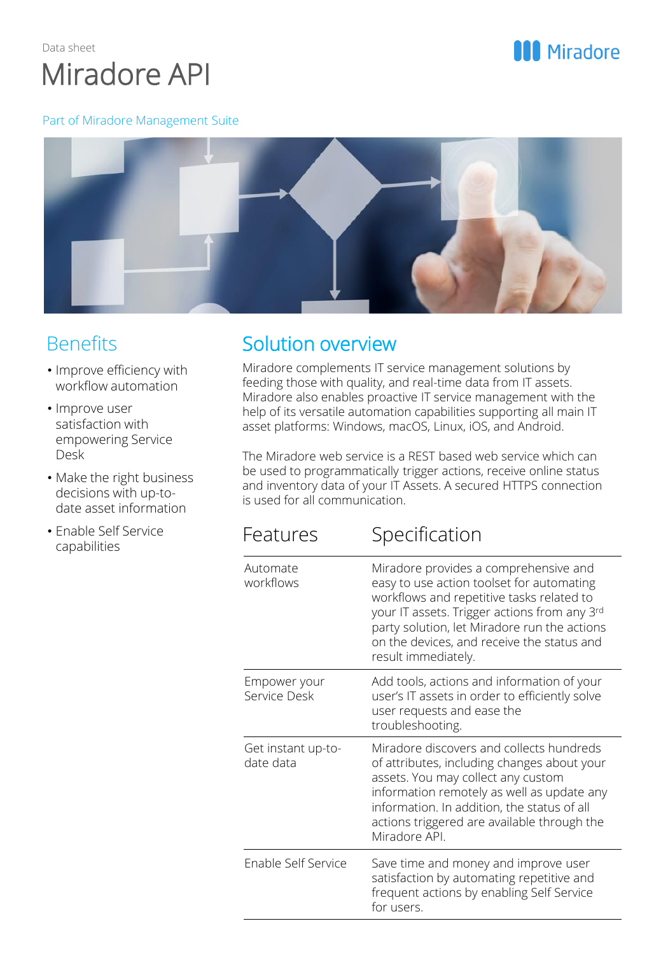

# **MI** Miradore

#### Part of Miradore Management Suite



## **Benefits**

- Improve efficiency with workflow automation
- Improve user satisfaction with empowering Service Desk
- Make the right business decisions with up-todate asset information
- Enable Self Service capabilities

# Solution overview

Miradore complements IT service management solutions by feeding those with quality, and real-time data from IT assets. Miradore also enables proactive IT service management with the help of its versatile automation capabilities supporting all main IT asset platforms: Windows, macOS, Linux, iOS, and Android.

The Miradore web service is a REST based web service which can be used to programmatically trigger actions, receive online status and inventory data of your IT Assets. A secured HTTPS connection is used for all communication.

# Features Specification

| Automate<br>workflows           | Miradore provides a comprehensive and<br>easy to use action toolset for automating<br>workflows and repetitive tasks related to<br>your IT assets. Trigger actions from any 3rd<br>party solution, let Miradore run the actions<br>on the devices, and receive the status and<br>result immediately. |
|---------------------------------|------------------------------------------------------------------------------------------------------------------------------------------------------------------------------------------------------------------------------------------------------------------------------------------------------|
| Empower your<br>Service Desk    | Add tools, actions and information of your<br>user's IT assets in order to efficiently solve<br>user requests and ease the<br>troubleshooting.                                                                                                                                                       |
| Get instant up-to-<br>date data | Miradore discovers and collects hundreds<br>of attributes, including changes about your<br>assets. You may collect any custom<br>information remotely as well as update any<br>information. In addition, the status of all<br>actions triggered are available through the<br>Miradore API.           |
| Enable Self Service             | Save time and money and improve user<br>satisfaction by automating repetitive and<br>frequent actions by enabling Self Service<br>for users.                                                                                                                                                         |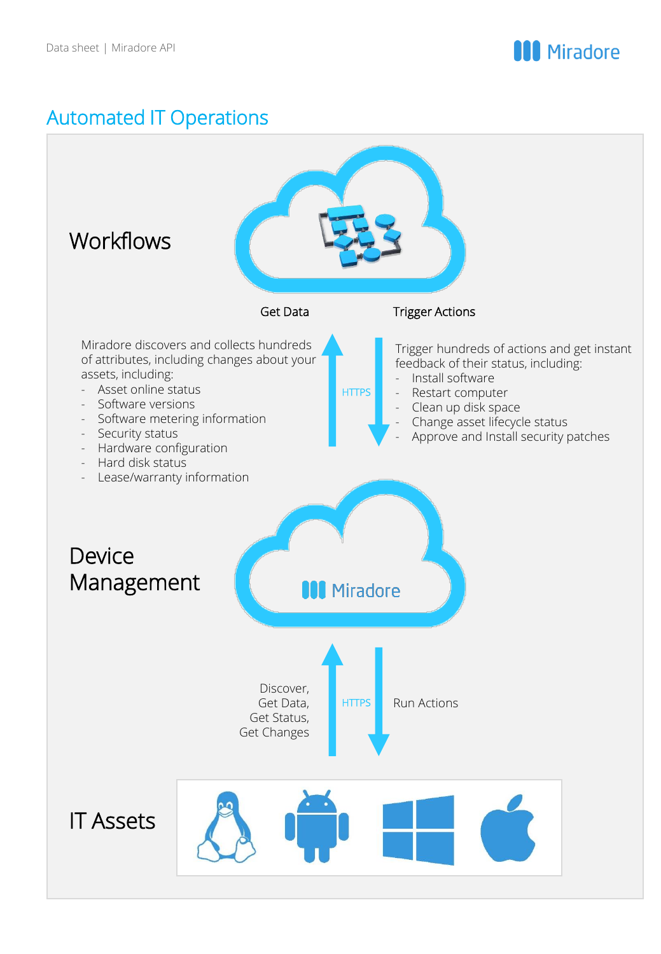

# Automated IT Operations